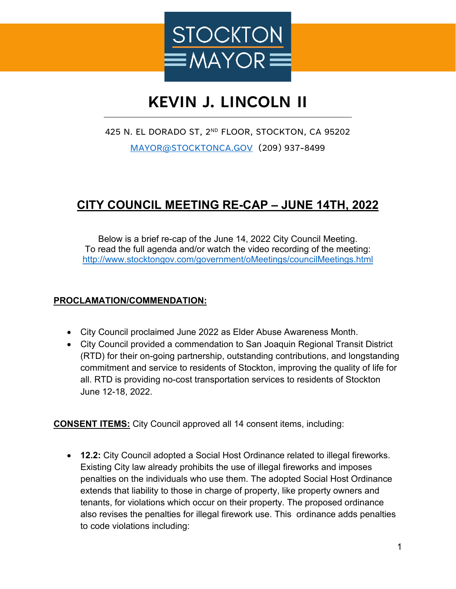

## **KEVIN J. LINCOLN II**

## 425 N. EL DORADO ST, 2<sup>ND</sup> FLOOR, STOCKTON, CA 95202

[MAYOR@STOCKTONCA.GOV](mailto:MAYOR@STOCKTONCA.GOV) (209) 937-8499

## **CITY COUNCIL MEETING RE-CAP – JUNE 14TH, 2022**

Below is a brief re-cap of the June 14, 2022 City Council Meeting. To read the full agenda and/or watch the video recording of the meeting: <http://www.stocktongov.com/government/oMeetings/councilMeetings.html>

## **PROCLAMATION/COMMENDATION:**

- City Council proclaimed June 2022 as Elder Abuse Awareness Month.
- City Council provided a commendation to San Joaquin Regional Transit District (RTD) for their on-going partnership, outstanding contributions, and longstanding commitment and service to residents of Stockton, improving the quality of life for all. RTD is providing no-cost transportation services to residents of Stockton June 12-18, 2022.

**CONSENT ITEMS:** City Council approved all 14 consent items, including:

• **12.2:** City Council adopted a Social Host Ordinance related to illegal fireworks. Existing City law already prohibits the use of illegal fireworks and imposes penalties on the individuals who use them. The adopted Social Host Ordinance extends that liability to those in charge of property, like property owners and tenants, for violations which occur on their property. The proposed ordinance also revises the penalties for illegal firework use. This ordinance adds penalties to code violations including: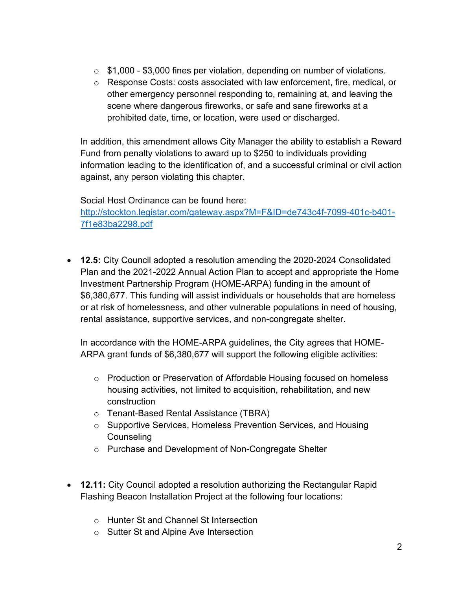- $\circ$  \$1,000 \$3,000 fines per violation, depending on number of violations.
- o Response Costs: costs associated with law enforcement, fire, medical, or other emergency personnel responding to, remaining at, and leaving the scene where dangerous fireworks, or safe and sane fireworks at a prohibited date, time, or location, were used or discharged.

In addition, this amendment allows City Manager the ability to establish a Reward Fund from penalty violations to award up to \$250 to individuals providing information leading to the identification of, and a successful criminal or civil action against, any person violating this chapter.

Social Host Ordinance can be found here:

[http://stockton.legistar.com/gateway.aspx?M=F&ID=de743c4f-7099-401c-b401-](http://stockton.legistar.com/gateway.aspx?M=F&ID=de743c4f-7099-401c-b401-7f1e83ba2298.pdf) [7f1e83ba2298.pdf](http://stockton.legistar.com/gateway.aspx?M=F&ID=de743c4f-7099-401c-b401-7f1e83ba2298.pdf) 

• **12.5:** City Council adopted a resolution amending the 2020-2024 Consolidated Plan and the 2021-2022 Annual Action Plan to accept and appropriate the Home Investment Partnership Program (HOME-ARPA) funding in the amount of \$6,380,677. This funding will assist individuals or households that are homeless or at risk of homelessness, and other vulnerable populations in need of housing, rental assistance, supportive services, and non-congregate shelter.

In accordance with the HOME-ARPA guidelines, the City agrees that HOME-ARPA grant funds of \$6,380,677 will support the following eligible activities:

- $\circ$  Production or Preservation of Affordable Housing focused on homeless housing activities, not limited to acquisition, rehabilitation, and new construction
- o Tenant-Based Rental Assistance (TBRA)
- o Supportive Services, Homeless Prevention Services, and Housing **Counseling**
- o Purchase and Development of Non-Congregate Shelter
- **12.11:** City Council adopted a resolution authorizing the Rectangular Rapid Flashing Beacon Installation Project at the following four locations:
	- o Hunter St and Channel St Intersection
	- o Sutter St and Alpine Ave Intersection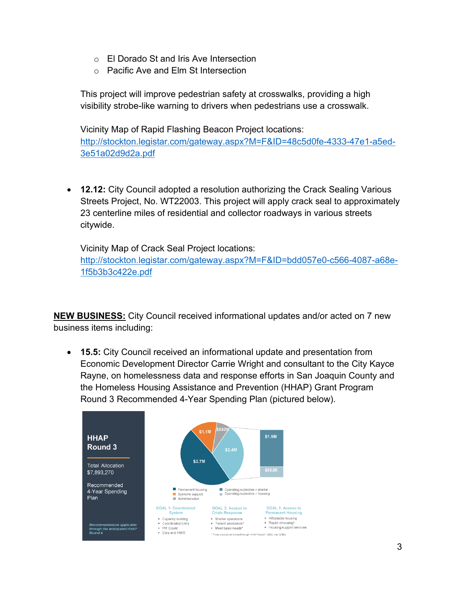- o El Dorado St and Iris Ave Intersection
- o Pacific Ave and Elm St Intersection

This project will improve pedestrian safety at crosswalks, providing a high visibility strobe-like warning to drivers when pedestrians use a crosswalk.

Vicinity Map of Rapid Flashing Beacon Project locations: [http://stockton.legistar.com/gateway.aspx?M=F&ID=48c5d0fe-4333-47e1-a5ed-](http://stockton.legistar.com/gateway.aspx?M=F&ID=48c5d0fe-4333-47e1-a5ed-3e51a02d9d2a.pdf)[3e51a02d9d2a.pdf](http://stockton.legistar.com/gateway.aspx?M=F&ID=48c5d0fe-4333-47e1-a5ed-3e51a02d9d2a.pdf) 

• **12.12:** City Council adopted a resolution authorizing the Crack Sealing Various Streets Project, No. WT22003. This project will apply crack seal to approximately 23 centerline miles of residential and collector roadways in various streets citywide.

Vicinity Map of Crack Seal Project locations: [http://stockton.legistar.com/gateway.aspx?M=F&ID=bdd057e0-c566-4087-a68e-](http://stockton.legistar.com/gateway.aspx?M=F&ID=bdd057e0-c566-4087-a68e-1f5b3b3c422e.pdf)[1f5b3b3c422e.pdf](http://stockton.legistar.com/gateway.aspx?M=F&ID=bdd057e0-c566-4087-a68e-1f5b3b3c422e.pdf) 

**NEW BUSINESS:** City Council received informational updates and/or acted on 7 new business items including:

• **15.5:** City Council received an informational update and presentation from Economic Development Director Carrie Wright and consultant to the City Kayce Rayne, on homelessness data and response efforts in San Joaquin County and the Homeless Housing Assistance and Prevention (HHAP) Grant Program Round 3 Recommended 4-Year Spending Plan (pictured below).

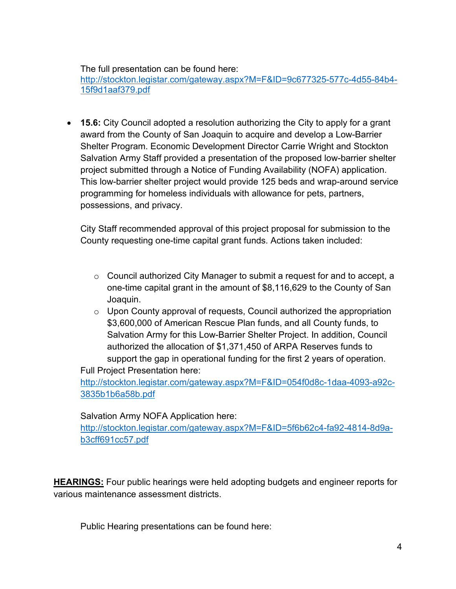The full presentation can be found here:

[http://stockton.legistar.com/gateway.aspx?M=F&ID=9c677325-577c-4d55-84b4-](http://stockton.legistar.com/gateway.aspx?M=F&ID=9c677325-577c-4d55-84b4-15f9d1aaf379.pdf) [15f9d1aaf379.pdf](http://stockton.legistar.com/gateway.aspx?M=F&ID=9c677325-577c-4d55-84b4-15f9d1aaf379.pdf) 

• **15.6:** City Council adopted a resolution authorizing the City to apply for a grant award from the County of San Joaquin to acquire and develop a Low-Barrier Shelter Program. Economic Development Director Carrie Wright and Stockton Salvation Army Staff provided a presentation of the proposed low-barrier shelter project submitted through a Notice of Funding Availability (NOFA) application. This low-barrier shelter project would provide 125 beds and wrap-around service programming for homeless individuals with allowance for pets, partners, possessions, and privacy.

City Staff recommended approval of this project proposal for submission to the County requesting one-time capital grant funds. Actions taken included:

- $\circ$  Council authorized City Manager to submit a request for and to accept, a one-time capital grant in the amount of \$8,116,629 to the County of San Joaquin.
- o Upon County approval of requests, Council authorized the appropriation \$3,600,000 of American Rescue Plan funds, and all County funds, to Salvation Army for this Low-Barrier Shelter Project. In addition, Council authorized the allocation of \$1,371,450 of ARPA Reserves funds to support the gap in operational funding for the first 2 years of operation. Full Project Presentation here:

[http://stockton.legistar.com/gateway.aspx?M=F&ID=054f0d8c-1daa-4093-a92c-](http://stockton.legistar.com/gateway.aspx?M=F&ID=054f0d8c-1daa-4093-a92c-3835b1b6a58b.pdf)[3835b1b6a58b.pdf](http://stockton.legistar.com/gateway.aspx?M=F&ID=054f0d8c-1daa-4093-a92c-3835b1b6a58b.pdf) 

Salvation Army NOFA Application here:

[http://stockton.legistar.com/gateway.aspx?M=F&ID=5f6b62c4-fa92-4814-8d9a](http://stockton.legistar.com/gateway.aspx?M=F&ID=5f6b62c4-fa92-4814-8d9a-b3cff691cc57.pdf)[b3cff691cc57.pdf](http://stockton.legistar.com/gateway.aspx?M=F&ID=5f6b62c4-fa92-4814-8d9a-b3cff691cc57.pdf) 

**HEARINGS:** Four public hearings were held adopting budgets and engineer reports for various maintenance assessment districts.

Public Hearing presentations can be found here: